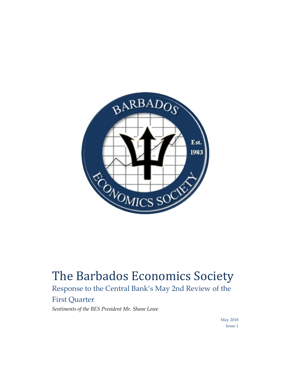

## The Barbados Economics Society

Response to the Central Bank's May 2nd Review of the First Quarter

*Sentiments of the BES President Mr. Shane Lowe* 

 May 2018 Issue 1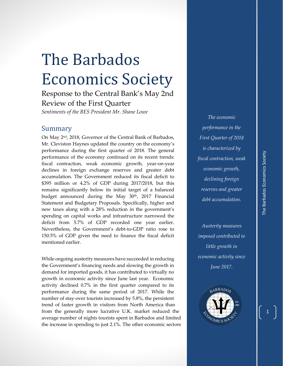## The Barbados Economics Society

Response to the Central Bank's May 2nd Review of the First Quarter

*Sentiments of the BES President Mr. Shane Lowe* 

## Summary

On May 2<sup>nd</sup>, 2018, Governor of the Central Bank of Barbados, Mr. Cleviston Haynes updated the country on the economy's performance during the first quarter of 2018. The general performance of the economy continued on its recent trends: fiscal contraction, weak economic growth, year-on-year declines in foreign exchange reserves and greater debt accumulation. The Government reduced its fiscal deficit to \$395 million or 4.2% of GDP during 2017/2018, but this remains significantly below its initial target of a balanced budget announced during the May 30<sup>th</sup>, 2017 Financial Statement and Budgetary Proposals. Specifically, higher and new taxes along with a 28% reduction in the government's spending on capital works and infrastructure narrowed the deficit from 5.7% of GDP recorded one year earlier. Nevertheless, the Government's debt-to-GDP ratio rose to 150.5% of GDP given the need to finance the fiscal deficit mentioned earlier.

While ongoing austerity measures have succeeded in reducing the Government's financing needs and slowing the growth in demand for imported goods, it has contributed to virtually no growth in economic activity since June last year. Economic activity declined 0.7% in the first quarter compared to its performance during the same period of 2017. While the number of stay-over tourists increased by 5.8%, the persistent trend of faster growth in visitors from North America than from the generally more lucrative U.K. market reduced the average number of nights tourists spent in Barbados and limited the increase in spending to just 2.1%. The other economic sectors

*The economic performance in the First Quarter of 2018 is characterized by fiscal contraction, weak economic growth, declining foreign reserves and greater debt accumulation.* 

*Austerity measures imposed contributed to little growth in economic activity since June 2017.*

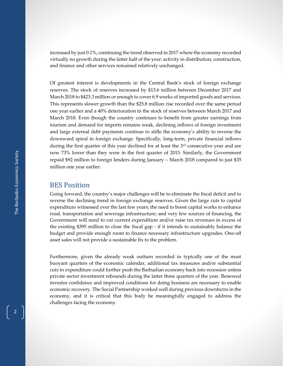increased by just 0.1%, continuing the trend observed in 2017 where the economy recorded virtually no growth during the latter half of the year: activity in distribution, construction, and finance and other services remained relatively unchanged.

Of greatest interest is developments in the Central Bank's stock of foreign exchange reserves. The stock of reserves increased by \$13.6 million between December 2017 and March 2018 to \$423.3 million or enough to cover 6.9 weeks of imported goods and services. This represents slower growth than the \$25.8 million rise recorded over the same period one year earlier and a 40% deterioration in the stock of reserves between March 2017 and March 2018. Even though the country continues to benefit from greater earnings from tourism and demand for imports remains weak, declining inflows of foreign investment and large external debt payments continue to stifle the economy's ability to reverse the downward spiral in foreign exchange. Specifically, long-term, private financial inflows during the first quarter of this year declined for at least the  $3<sup>rd</sup>$  consecutive year and are now 73% lower than they were in the first quarter of 2015. Similarly, the Government repaid \$92 million to foreign lenders during January – March 2018 compared to just \$35 million one year earlier.

## BES Position

Going forward, the country's major challenges will be to eliminate the fiscal deficit and to reverse the declining trend in foreign exchange reserves. Given the large cuts to capital expenditure witnessed over the last few years; the need to boost capital works to enhance road, transportation and sewerage infrastructure; and very few sources of financing, the Government will need to cut current expenditure and/or raise tax revenues in excess of the existing \$395 million to close the fiscal gap - if it intends to sustainably balance the budget and provide enough room to finance necessary infrastructure upgrades. One-off asset sales will not provide a sustainable fix to the problem.

Furthermore, given the already weak outturn recorded in typically one of the most buoyant quarters of the economic calendar, additional tax measures and/or substantial cuts to expenditure could further push the Barbadian economy back into recession unless private sector investment rebounds during the latter three quarters of the year. Renewed investor confidence and improved conditions for doing business are necessary to enable economic recovery. The Social Partnership worked well during previous downturns in the economy, and it is critical that this body be meaningfully engaged to address the challenges facing the economy.